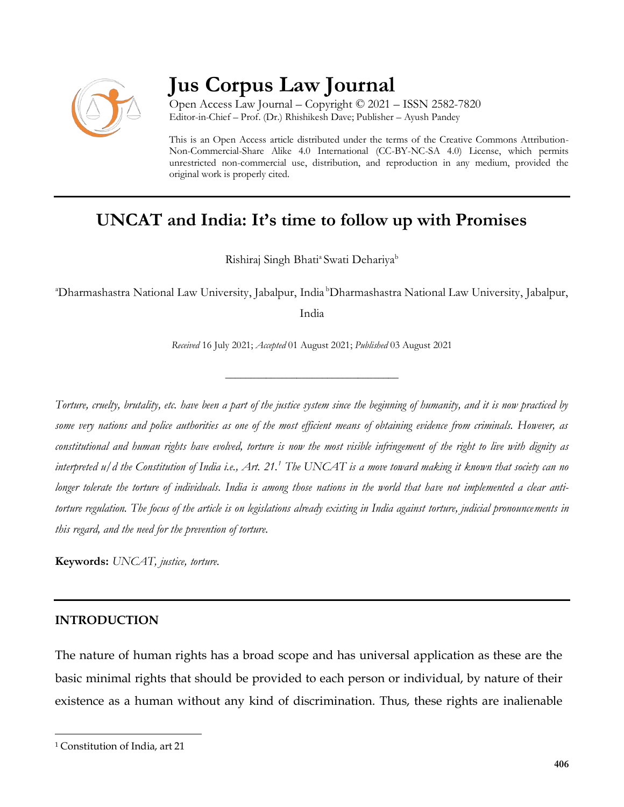

# **Jus Corpus Law Journal**

Open Access Law Journal – Copyright © 2021 – ISSN 2582-7820 Editor-in-Chief – Prof. (Dr.) Rhishikesh Dave; Publisher – Ayush Pandey

This is an Open Access article distributed under the terms of the Creative Commons Attribution-Non-Commercial-Share Alike 4.0 International (CC-BY-NC-SA 4.0) License, which permits unrestricted non-commercial use, distribution, and reproduction in any medium, provided the original work is properly cited.

# **UNCAT and India: It's time to follow up with Promises**

Rishiraj Singh Bhati<sup>a</sup> Swati Dehariya<sup>b</sup>

<sup>a</sup>Dharmashastra National Law University, Jabalpur, India <sup>b</sup>Dharmashastra National Law University, Jabalpur,

India

*Received* 16 July 2021; *Accepted* 01 August 2021; *Published* 03 August 2021

\_\_\_\_\_\_\_\_\_\_\_\_\_\_\_\_\_\_\_\_\_\_\_\_\_\_\_\_\_\_\_\_\_\_

*Torture, cruelty, brutality, etc. have been a part of the justice system since the beginning of humanity, and it is now practiced by some very nations and police authorities as one of the most efficient means of obtaining evidence from criminals. However, as constitutional and human rights have evolved, torture is now the most visible infringement of the right to live with dignity as interpreted u/d the Constitution of India i.e., Art. 21.<sup>1</sup> The UNCAT is a move toward making it known that society can no longer tolerate the torture of individuals. India is among those nations in the world that have not implemented a clear antitorture regulation. The focus of the article is on legislations already existing in India against torture, judicial pronouncements in this regard, and the need for the prevention of torture.*

**Keywords:** *UNCAT, justice, torture.*

### **INTRODUCTION**

The nature of human rights has a broad scope and has universal application as these are the basic minimal rights that should be provided to each person or individual, by nature of their existence as a human without any kind of discrimination. Thus, these rights are inalienable

<sup>1</sup> Constitution of India, art 21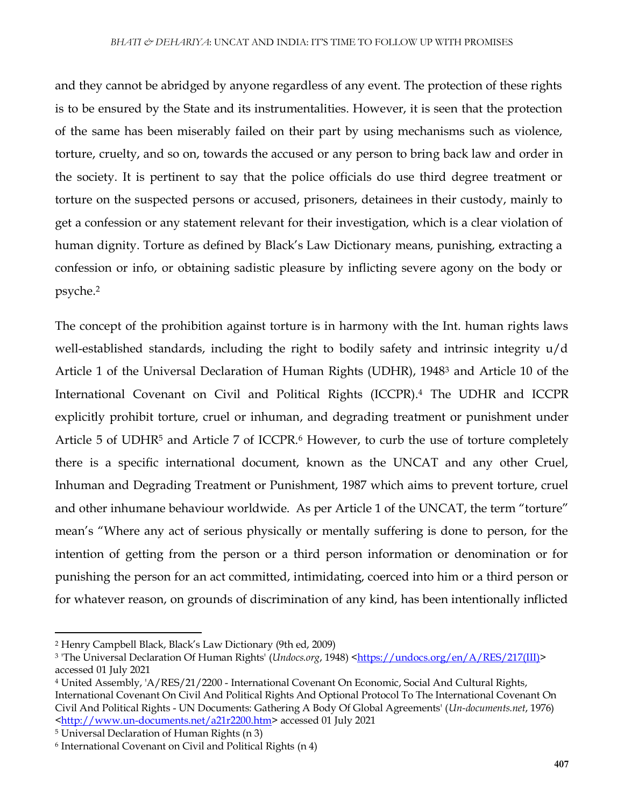and they cannot be abridged by anyone regardless of any event. The protection of these rights is to be ensured by the State and its instrumentalities. However, it is seen that the protection of the same has been miserably failed on their part by using mechanisms such as violence, torture, cruelty, and so on, towards the accused or any person to bring back law and order in the society. It is pertinent to say that the police officials do use third degree treatment or torture on the suspected persons or accused, prisoners, detainees in their custody, mainly to get a confession or any statement relevant for their investigation, which is a clear violation of human dignity. Torture as defined by Black's Law Dictionary means, punishing, extracting a confession or info, or obtaining sadistic pleasure by inflicting severe agony on the body or psyche.<sup>2</sup>

The concept of the prohibition against torture is in harmony with the Int. human rights laws well-established standards, including the right to bodily safety and intrinsic integrity u/d Article 1 of the Universal Declaration of Human Rights (UDHR), 1948<sup>3</sup> and Article 10 of the International Covenant on Civil and Political Rights (ICCPR).<sup>4</sup> The UDHR and ICCPR explicitly prohibit torture, cruel or inhuman, and degrading treatment or punishment under Article 5 of UDHR<sup>5</sup> and Article 7 of ICCPR.<sup>6</sup> However, to curb the use of torture completely there is a specific international document, known as the UNCAT and any other Cruel, Inhuman and Degrading Treatment or Punishment, 1987 which aims to prevent torture, cruel and other inhumane behaviour worldwide. As per Article 1 of the UNCAT, the term "torture" mean's "Where any act of serious physically or mentally suffering is done to person, for the intention of getting from the person or a third person information or denomination or for punishing the person for an act committed, intimidating, coerced into him or a third person or for whatever reason, on grounds of discrimination of any kind, has been intentionally inflicted

<sup>2</sup> Henry Campbell Black, Black's Law Dictionary (9th ed, 2009)

<sup>&</sup>lt;sup>3</sup> 'The Universal Declaration Of Human Rights' (*Undocs.org*, 1948) [<https://undocs.org/en/A/RES/217\(III\)>](https://undocs.org/en/A/RES/217(III)) accessed 01 July 2021

<sup>4</sup> United Assembly, 'A/RES/21/2200 - International Covenant On Economic, Social And Cultural Rights, International Covenant On Civil And Political Rights And Optional Protocol To The International Covenant On Civil And Political Rights - UN Documents: Gathering A Body Of Global Agreements' (*Un-documents.net*, 1976) [<http://www.un-documents.net/a21r2200.htm>](http://www.un-documents.net/a21r2200.htm) accessed 01 July 2021

<sup>5</sup> Universal Declaration of Human Rights (n 3)

<sup>6</sup> International Covenant on Civil and Political Rights (n 4)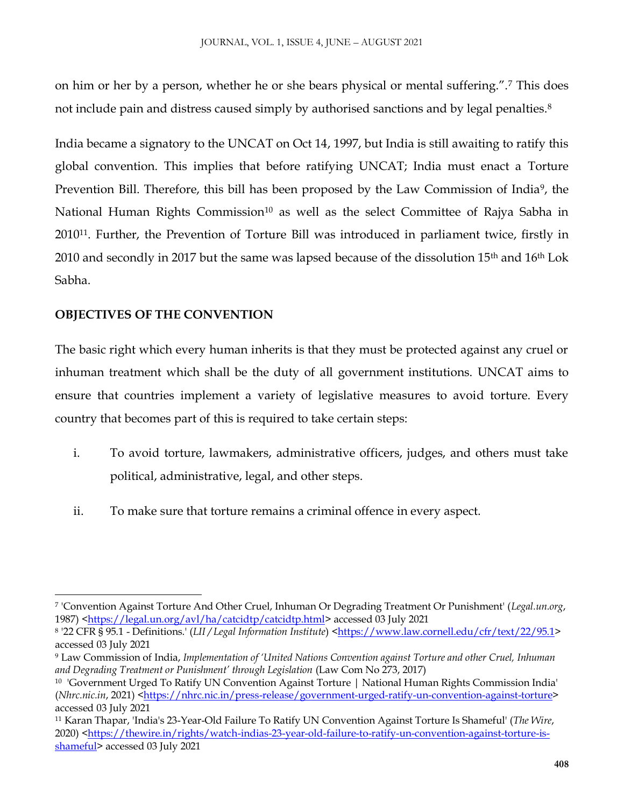on him or her by a person, whether he or she bears physical or mental suffering.".<sup>7</sup> This does not include pain and distress caused simply by authorised sanctions and by legal penalties.<sup>8</sup>

India became a signatory to the UNCAT on Oct 14, 1997, but India is still awaiting to ratify this global convention. This implies that before ratifying UNCAT; India must enact a Torture Prevention Bill. Therefore, this bill has been proposed by the Law Commission of India<sup>9</sup>, the National Human Rights Commission<sup>10</sup> as well as the select Committee of Rajya Sabha in 201011. Further, the Prevention of Torture Bill was introduced in parliament twice, firstly in 2010 and secondly in 2017 but the same was lapsed because of the dissolution 15<sup>th</sup> and 16<sup>th</sup> Lok Sabha.

# **OBJECTIVES OF THE CONVENTION**

 $\overline{\phantom{a}}$ 

The basic right which every human inherits is that they must be protected against any cruel or inhuman treatment which shall be the duty of all government institutions. UNCAT aims to ensure that countries implement a variety of legislative measures to avoid torture. Every country that becomes part of this is required to take certain steps:

- i. To avoid torture, lawmakers, administrative officers, judges, and others must take political, administrative, legal, and other steps.
- ii. To make sure that torture remains a criminal offence in every aspect.

<sup>7</sup> 'Convention Against Torture And Other Cruel, Inhuman Or Degrading Treatment Or Punishment' (*Legal.un.org*, 1987) [<https://legal.un.org/avl/ha/catcidtp/catcidtp.html>](https://legal.un.org/avl/ha/catcidtp/catcidtp.html) accessed 03 July 2021

<sup>8 &#</sup>x27;22 CFR § 95.1 - Definitions.' (*LII / Legal Information Institute*) [<https://www.law.cornell.edu/cfr/text/22/95.1>](https://www.law.cornell.edu/cfr/text/22/95.1) accessed 03 July 2021

<sup>9</sup> Law Commission of India, *Implementation of 'United Nations Convention against Torture and other Cruel, Inhuman and Degrading Treatment or Punishment' through Legislation* (Law Com No 273, 2017)

<sup>10</sup> 'Government Urged To Ratify UN Convention Against Torture | National Human Rights Commission India' (*Nhrc.nic.in*, 2021) [<https://nhrc.nic.in/press-release/government-urged-ratify-un-convention-against-torture>](https://nhrc.nic.in/press-release/government-urged-ratify-un-convention-against-torture) accessed 03 July 2021

<sup>11</sup> Karan Thapar, 'India's 23-Year-Old Failure To Ratify UN Convention Against Torture Is Shameful' (*The Wire*, 2020) [<https://thewire.in/rights/watch-indias-23-year-old-failure-to-ratify-un-convention-against-torture-is](https://thewire.in/rights/watch-indias-23-year-old-failure-to-ratify-un-convention-against-torture-is-shameful)shameful</u>> accessed 03 July 2021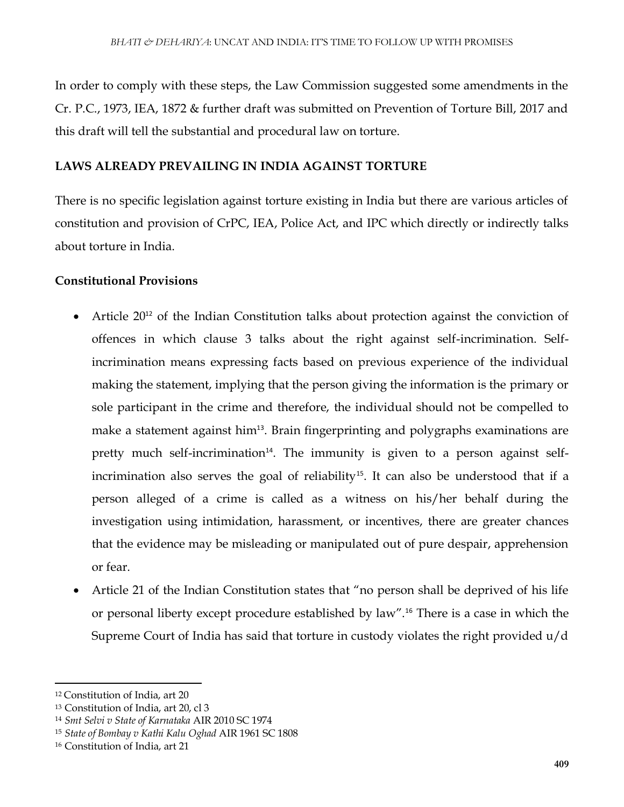In order to comply with these steps, the Law Commission suggested some amendments in the Cr. P.C., 1973, IEA, 1872 & further draft was submitted on Prevention of Torture Bill, 2017 and this draft will tell the substantial and procedural law on torture.

# **LAWS ALREADY PREVAILING IN INDIA AGAINST TORTURE**

There is no specific legislation against torture existing in India but there are various articles of constitution and provision of CrPC, IEA, Police Act, and IPC which directly or indirectly talks about torture in India.

# **Constitutional Provisions**

- Article 20<sup>12</sup> of the Indian Constitution talks about protection against the conviction of offences in which clause 3 talks about the right against self-incrimination. Selfincrimination means expressing facts based on previous experience of the individual making the statement, implying that the person giving the information is the primary or sole participant in the crime and therefore, the individual should not be compelled to make a statement against him<sup>13</sup>. Brain fingerprinting and polygraphs examinations are pretty much self-incrimination<sup>14</sup>. The immunity is given to a person against selfincrimination also serves the goal of reliability<sup>15</sup>. It can also be understood that if a person alleged of a crime is called as a witness on his/her behalf during the investigation using intimidation, harassment, or incentives, there are greater chances that the evidence may be misleading or manipulated out of pure despair, apprehension or fear.
- Article 21 of the Indian Constitution states that "no person shall be deprived of his life or personal liberty except procedure established by law".<sup>16</sup> There is a case in which the Supreme Court of India has said that torture in custody violates the right provided u/d

<sup>12</sup> Constitution of India, art 20

<sup>13</sup> Constitution of India, art 20, cl 3

<sup>14</sup> *Smt Selvi v State of Karnataka* AIR 2010 SC 1974

<sup>15</sup> *State of Bombay v Kathi Kalu Oghad* AIR 1961 SC 1808

<sup>16</sup> Constitution of India, art 21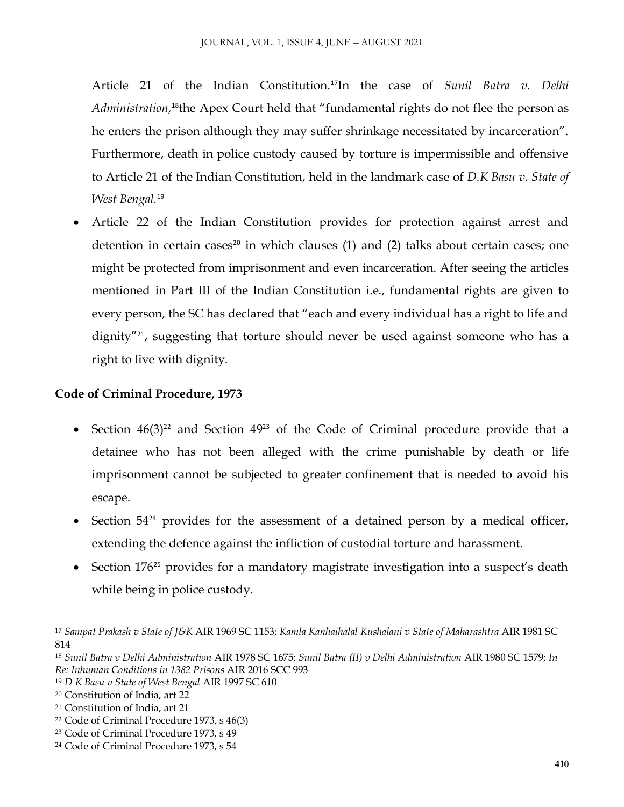Article 21 of the Indian Constitution.<sup>17</sup>In the case of *Sunil Batra v. Delhi*  Administration,<sup>18</sup>the Apex Court held that "fundamental rights do not flee the person as he enters the prison although they may suffer shrinkage necessitated by incarceration". Furthermore, death in police custody caused by torture is impermissible and offensive to Article 21 of the Indian Constitution, held in the landmark case of *D.K Basu v. State of West Bengal.*<sup>19</sup>

 Article 22 of the Indian Constitution provides for protection against arrest and detention in certain cases<sup>20</sup> in which clauses  $(1)$  and  $(2)$  talks about certain cases; one might be protected from imprisonment and even incarceration. After seeing the articles mentioned in Part III of the Indian Constitution i.e., fundamental rights are given to every person, the SC has declared that "each and every individual has a right to life and dignity"<sup>21</sup>, suggesting that torture should never be used against someone who has a right to live with dignity.

# **Code of Criminal Procedure, 1973**

- Section  $46(3)^{22}$  and Section  $49^{23}$  of the Code of Criminal procedure provide that a detainee who has not been alleged with the crime punishable by death or life imprisonment cannot be subjected to greater confinement that is needed to avoid his escape.
- Section  $54^{24}$  provides for the assessment of a detained person by a medical officer, extending the defence against the infliction of custodial torture and harassment.
- Section 176<sup>25</sup> provides for a mandatory magistrate investigation into a suspect's death while being in police custody.

 $\overline{\phantom{a}}$ <sup>17</sup> *Sampat Prakash v State of J&K* AIR 1969 SC 1153; *Kamla Kanhaihalal Kushalani v State of Maharashtra* AIR 1981 SC 814

<sup>18</sup> *Sunil Batra v Delhi Administration* AIR 1978 SC 1675; *Sunil Batra (II) v Delhi Administration* AIR 1980 SC 1579; *In Re: Inhuman Conditions in 1382 Prisons* AIR 2016 SCC 993

<sup>19</sup> *D K Basu v State of West Bengal* AIR 1997 SC 610

<sup>20</sup> Constitution of India, art 22

<sup>21</sup> Constitution of India, art 21

<sup>22</sup> Code of Criminal Procedure 1973, s 46(3)

<sup>23</sup> Code of Criminal Procedure 1973, s 49

<sup>24</sup> Code of Criminal Procedure 1973, s 54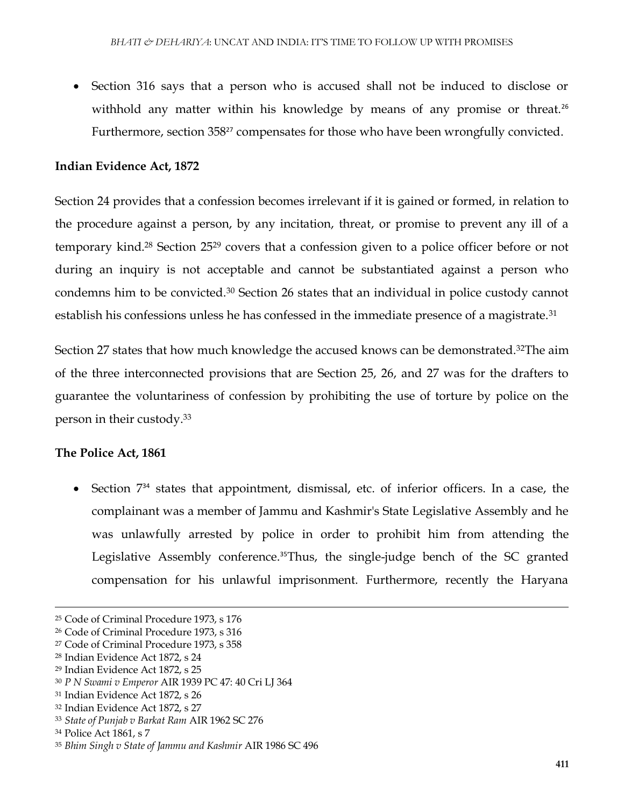Section 316 says that a person who is accused shall not be induced to disclose or withhold any matter within his knowledge by means of any promise or threat.<sup>26</sup> Furthermore, section 358<sup>27</sup> compensates for those who have been wrongfully convicted.

#### **Indian Evidence Act, 1872**

Section 24 provides that a confession becomes irrelevant if it is gained or formed, in relation to the procedure against a person, by any incitation, threat, or promise to prevent any ill of a temporary kind.<sup>28</sup> Section 25<sup>29</sup> covers that a confession given to a police officer before or not during an inquiry is not acceptable and cannot be substantiated against a person who condemns him to be convicted.<sup>30</sup> Section 26 states that an individual in police custody cannot establish his confessions unless he has confessed in the immediate presence of a magistrate.<sup>31</sup>

Section 27 states that how much knowledge the accused knows can be demonstrated.<sup>32</sup>The aim of the three interconnected provisions that are Section 25, 26, and 27 was for the drafters to guarantee the voluntariness of confession by prohibiting the use of torture by police on the person in their custody.<sup>33</sup>

#### **The Police Act, 1861**

 Section 7<sup>34</sup> states that appointment, dismissal, etc. of inferior officers. In a case, the complainant was a member of Jammu and Kashmir's State Legislative Assembly and he was unlawfully arrested by police in order to prohibit him from attending the Legislative Assembly conference.<sup>35</sup>Thus, the single-judge bench of the SC granted compensation for his unlawful imprisonment. Furthermore, recently the Haryana

<sup>25</sup> Code of Criminal Procedure 1973, s 176

<sup>26</sup> Code of Criminal Procedure 1973, s 316

<sup>27</sup> Code of Criminal Procedure 1973, s 358

<sup>28</sup> Indian Evidence Act 1872, s 24

<sup>29</sup> Indian Evidence Act 1872, s 25

<sup>30</sup> *P N Swami v Emperor* AIR 1939 PC 47: 40 Cri LJ 364

<sup>31</sup> Indian Evidence Act 1872, s 26

<sup>32</sup> Indian Evidence Act 1872, s 27

<sup>33</sup> *State of Punjab v Barkat Ram* AIR 1962 SC 276

<sup>34</sup> Police Act 1861, s 7

<sup>35</sup> *Bhim Singh v State of Jammu and Kashmir* AIR 1986 SC 496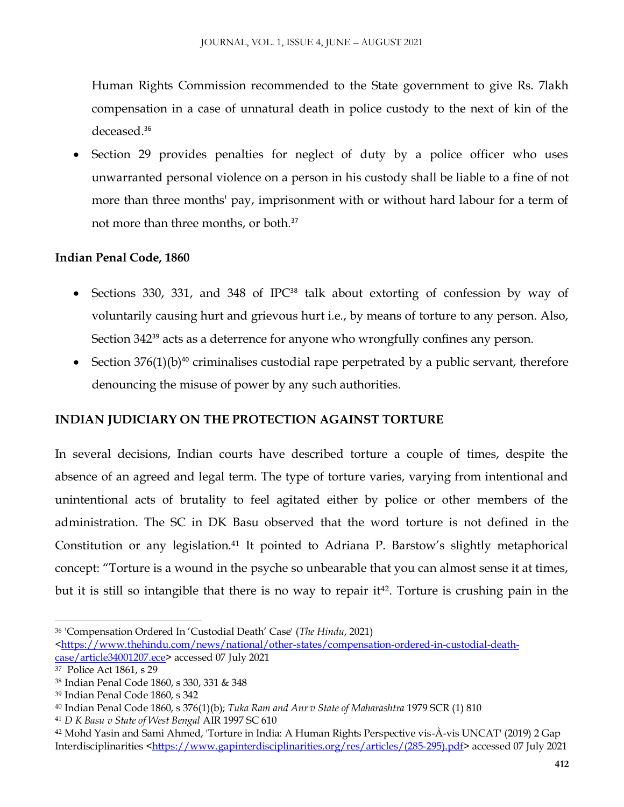Human Rights Commission recommended to the State government to give Rs. 7lakh compensation in a case of unnatural death in police custody to the next of kin of the deceased.<sup>36</sup>

 Section 29 provides penalties for neglect of duty by a police officer who uses unwarranted personal violence on a person in his custody shall be liable to a fine of not more than three months' pay, imprisonment with or without hard labour for a term of not more than three months, or both.<sup>37</sup>

# **Indian Penal Code, 1860**

- Sections 330, 331, and 348 of IPC<sup>38</sup> talk about extorting of confession by way of voluntarily causing hurt and grievous hurt i.e., by means of torture to any person. Also, Section 342<sup>39</sup> acts as a deterrence for anyone who wrongfully confines any person.
- Section  $376(1)(b)^{40}$  criminalises custodial rape perpetrated by a public servant, therefore denouncing the misuse of power by any such authorities.

# **INDIAN JUDICIARY ON THE PROTECTION AGAINST TORTURE**

In several decisions, Indian courts have described torture a couple of times, despite the absence of an agreed and legal term. The type of torture varies, varying from intentional and unintentional acts of brutality to feel agitated either by police or other members of the administration. The SC in DK Basu observed that the word torture is not defined in the Constitution or any legislation.<sup>41</sup> It pointed to Adriana P. Barstow's slightly metaphorical concept: "Torture is a wound in the psyche so unbearable that you can almost sense it at times, but it is still so intangible that there is no way to repair it<sup>42</sup>. Torture is crushing pain in the

<sup>36</sup> 'Compensation Ordered In 'Custodial Death' Case' (*The Hindu*, 2021)

[<sup>&</sup>lt;https://www.thehindu.com/news/national/other-states/compensation-ordered-in-custodial-death](https://www.thehindu.com/news/national/other-states/compensation-ordered-in-custodial-death-case/article34001207.ece)[case/article34001207.ece>](https://www.thehindu.com/news/national/other-states/compensation-ordered-in-custodial-death-case/article34001207.ece) accessed 07 July 2021

<sup>37</sup> Police Act 1861, s 29

<sup>38</sup> Indian Penal Code 1860, s 330, 331 & 348

<sup>39</sup> Indian Penal Code 1860, s 342

<sup>40</sup> Indian Penal Code 1860, s 376(1)(b); *Tuka Ram and Anr v State of Maharashtra* 1979 SCR (1) 810

<sup>41</sup> *D K Basu v State of West Bengal* AIR 1997 SC 610

<sup>42</sup> Mohd Yasin and Sami Ahmed, 'Torture in India: A Human Rights Perspective vis-À-vis UNCAT' (2019) 2 Gap Interdisciplinarities [<https://www.gapinterdisciplinarities.org/res/articles/\(285-295\).pdf>](https://www.gapinterdisciplinarities.org/res/articles/(285-295).pdf)accessed 07 July 2021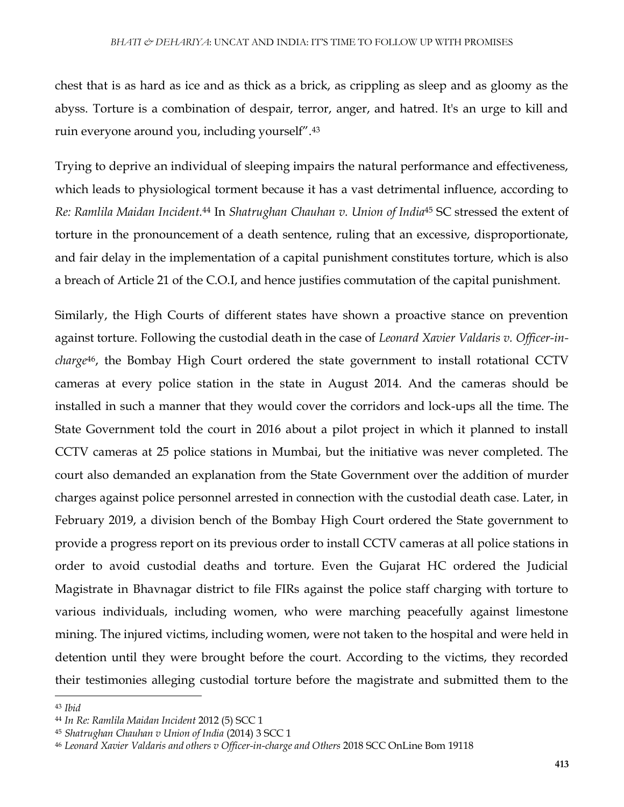chest that is as hard as ice and as thick as a brick, as crippling as sleep and as gloomy as the abyss. Torture is a combination of despair, terror, anger, and hatred. It's an urge to kill and ruin everyone around you, including yourself".<sup>43</sup>

Trying to deprive an individual of sleeping impairs the natural performance and effectiveness, which leads to physiological torment because it has a vast detrimental influence, according to *Re: Ramlila Maidan Incident.*<sup>44</sup> In *Shatrughan Chauhan v. Union of India*<sup>45</sup> SC stressed the extent of torture in the pronouncement of a death sentence, ruling that an excessive, disproportionate, and fair delay in the implementation of a capital punishment constitutes torture, which is also a breach of Article 21 of the C.O.I, and hence justifies commutation of the capital punishment.

Similarly, the High Courts of different states have shown a proactive stance on prevention against torture. Following the custodial death in the case of *Leonard Xavier Valdaris v. Officer-incharge*46, the Bombay High Court ordered the state government to install rotational CCTV cameras at every police station in the state in August 2014. And the cameras should be installed in such a manner that they would cover the corridors and lock-ups all the time. The State Government told the court in 2016 about a pilot project in which it planned to install CCTV cameras at 25 police stations in Mumbai, but the initiative was never completed. The court also demanded an explanation from the State Government over the addition of murder charges against police personnel arrested in connection with the custodial death case. Later, in February 2019, a division bench of the Bombay High Court ordered the State government to provide a progress report on its previous order to install CCTV cameras at all police stations in order to avoid custodial deaths and torture. Even the Gujarat HC ordered the Judicial Magistrate in Bhavnagar district to file FIRs against the police staff charging with torture to various individuals, including women, who were marching peacefully against limestone mining. The injured victims, including women, were not taken to the hospital and were held in detention until they were brought before the court. According to the victims, they recorded their testimonies alleging custodial torture before the magistrate and submitted them to the

<sup>43</sup> *Ibid*

<sup>44</sup> *In Re: Ramlila Maidan Incident* 2012 (5) SCC 1

<sup>45</sup> *Shatrughan Chauhan v Union of India* (2014) 3 SCC 1

<sup>46</sup> *Leonard Xavier Valdaris and others v Officer-in-charge and Others* 2018 SCC OnLine Bom 19118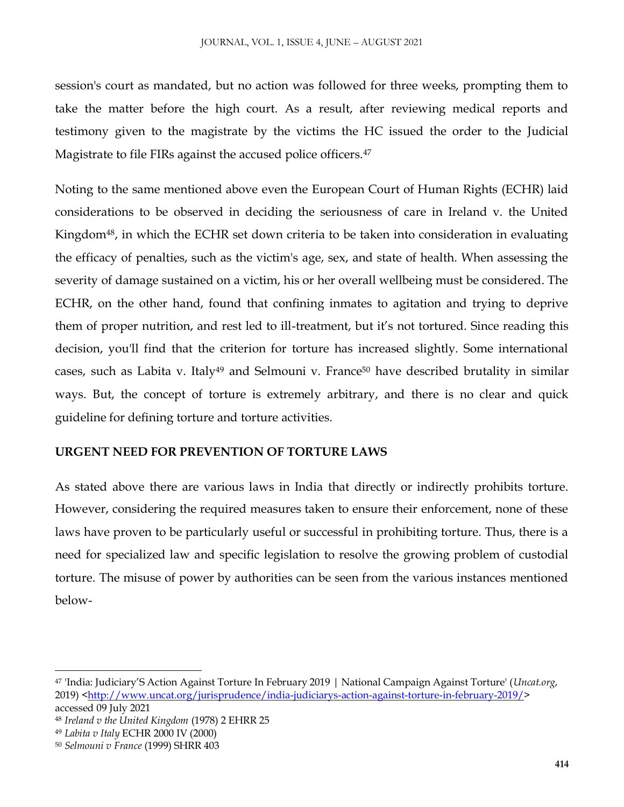session's court as mandated, but no action was followed for three weeks, prompting them to take the matter before the high court. As a result, after reviewing medical reports and testimony given to the magistrate by the victims the HC issued the order to the Judicial Magistrate to file FIRs against the accused police officers.<sup>47</sup>

Noting to the same mentioned above even the European Court of Human Rights (ECHR) laid considerations to be observed in deciding the seriousness of care in Ireland v. the United Kingdom<sup>48</sup>, in which the ECHR set down criteria to be taken into consideration in evaluating the efficacy of penalties, such as the victim's age, sex, and state of health. When assessing the severity of damage sustained on a victim, his or her overall wellbeing must be considered. The ECHR, on the other hand, found that confining inmates to agitation and trying to deprive them of proper nutrition, and rest led to ill-treatment, but it's not tortured. Since reading this decision, you'll find that the criterion for torture has increased slightly. Some international cases, such as Labita v. Italy<sup>49</sup> and Selmouni v. France<sup>50</sup> have described brutality in similar ways. But, the concept of torture is extremely arbitrary, and there is no clear and quick guideline for defining torture and torture activities.

### **URGENT NEED FOR PREVENTION OF TORTURE LAWS**

As stated above there are various laws in India that directly or indirectly prohibits torture. However, considering the required measures taken to ensure their enforcement, none of these laws have proven to be particularly useful or successful in prohibiting torture. Thus, there is a need for specialized law and specific legislation to resolve the growing problem of custodial torture. The misuse of power by authorities can be seen from the various instances mentioned below-

<sup>47</sup> 'India: Judiciary'S Action Against Torture In February 2019 | National Campaign Against Torture' (*Uncat.org*, 2019) [<http://www.uncat.org/jurisprudence/india-judiciarys-action-against-torture-in-february-2019/>](http://www.uncat.org/jurisprudence/india-judiciarys-action-against-torture-in-february-2019/) accessed 09 July 2021

<sup>48</sup> *Ireland v the United Kingdom* (1978) 2 EHRR 25

<sup>49</sup> *Labita v Italy* ECHR 2000 IV (2000)

<sup>50</sup> *Selmouni v France* (1999) SHRR 403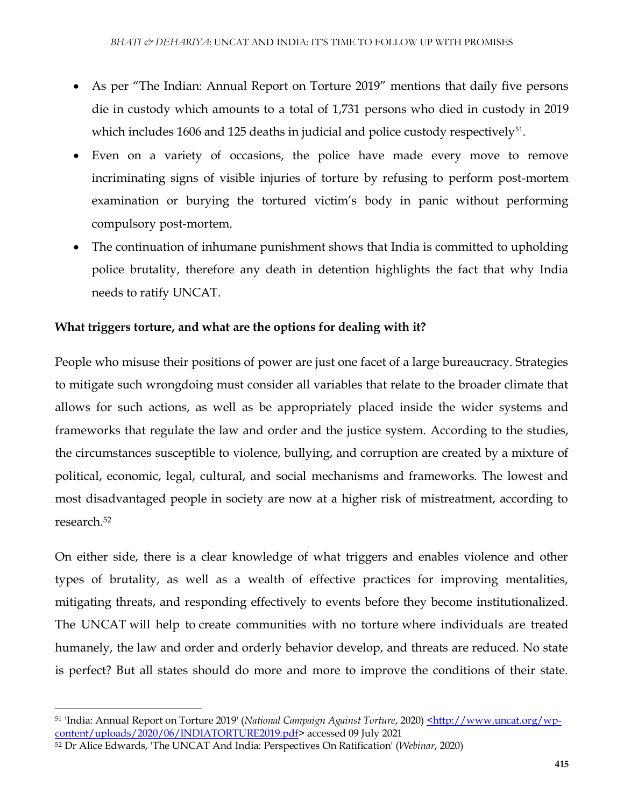- As per "The Indian: Annual Report on Torture 2019" mentions that daily five persons die in custody which amounts to a total of 1,731 persons who died in custody in 2019 which includes 1606 and 125 deaths in judicial and police custody respectively $51$ .
- Even on a variety of occasions, the police have made every move to remove incriminating signs of visible injuries of torture by refusing to perform post-mortem examination or burying the tortured victim's body in panic without performing compulsory post-mortem.
- The continuation of inhumane punishment shows that India is committed to upholding police brutality, therefore any death in detention highlights the fact that why India needs to ratify UNCAT.

# **What triggers torture, and what are the options for dealing with it?**

People who misuse their positions of power are just one facet of a large bureaucracy. Strategies to mitigate such wrongdoing must consider all variables that relate to the broader climate that allows for such actions, as well as be appropriately placed inside the wider systems and frameworks that regulate the law and order and the justice system. According to the studies, the circumstances susceptible to violence, bullying, and corruption are created by a mixture of political, economic, legal, cultural, and social mechanisms and frameworks. The lowest and most disadvantaged people in society are now at a higher risk of mistreatment, according to research.<sup>52</sup>

On either side, there is a clear knowledge of what triggers and enables violence and other types of brutality, as well as a wealth of effective practices for improving mentalities, mitigating threats, and responding effectively to events before they become institutionalized. The UNCAT will help to create communities with no torture where individuals are treated humanely, the law and order and orderly behavior develop, and threats are reduced. No state is perfect? But all states should do more and more to improve the conditions of their state.

 $\overline{\phantom{a}}$ <sup>51</sup> 'India: Annual Report on Torture 2019' (*National Campaign Against Torture*, 2020[\) <http://www.uncat.org/wp](file:///C:/Users/arnav/AppData/Local/Packages/microsoft.windowscommunicationsapps_8wekyb3d8bbwe/LocalState/Files/S0/102/Attachments/%3chttp:/www.uncat.org/wp-content/uploads/2020/06/INDIATORTURE2019.pdf)[content/uploads/2020/06/INDIATORTURE2019.pdf>](file:///C:/Users/arnav/AppData/Local/Packages/microsoft.windowscommunicationsapps_8wekyb3d8bbwe/LocalState/Files/S0/102/Attachments/%3chttp:/www.uncat.org/wp-content/uploads/2020/06/INDIATORTURE2019.pdf) accessed 09 July 2021

<sup>52</sup> Dr Alice Edwards, 'The UNCAT And India: Perspectives On Ratification' (*Webinar*, 2020)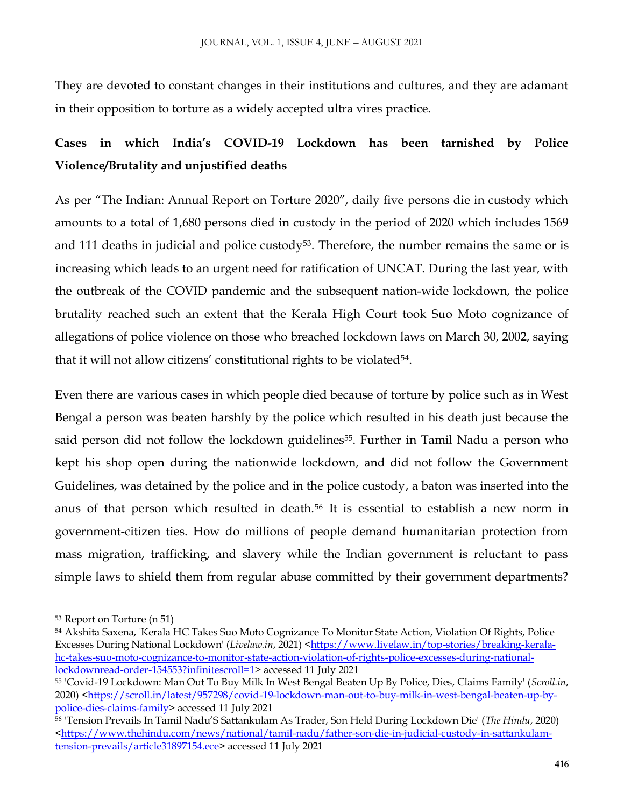They are devoted to constant changes in their institutions and cultures, and they are adamant in their opposition to torture as a widely accepted ultra vires practice.

# **Cases in which India's COVID-19 Lockdown has been tarnished by Police Violence/Brutality and unjustified deaths**

As per "The Indian: Annual Report on Torture 2020", daily five persons die in custody which amounts to a total of 1,680 persons died in custody in the period of 2020 which includes 1569 and 111 deaths in judicial and police custody<sup>53</sup>. Therefore, the number remains the same or is increasing which leads to an urgent need for ratification of UNCAT. During the last year, with the outbreak of the COVID pandemic and the subsequent nation-wide lockdown, the police brutality reached such an extent that the Kerala High Court took Suo Moto cognizance of allegations of police violence on those who breached lockdown laws on March 30, 2002, saying that it will not allow citizens' constitutional rights to be violated<sup>54</sup>.

Even there are various cases in which people died because of torture by police such as in West Bengal a person was beaten harshly by the police which resulted in his death just because the said person did not follow the lockdown guidelines<sup>55</sup>. Further in Tamil Nadu a person who kept his shop open during the nationwide lockdown, and did not follow the Government Guidelines, was detained by the police and in the police custody, a baton was inserted into the anus of that person which resulted in death.<sup>56</sup> It is essential to establish a new norm in government-citizen ties. How do millions of people demand humanitarian protection from mass migration, trafficking, and slavery while the Indian government is reluctant to pass simple laws to shield them from regular abuse committed by their government departments?

<sup>53</sup> Report on Torture (n 51)

<sup>54</sup> Akshita Saxena, 'Kerala HC Takes Suo Moto Cognizance To Monitor State Action, Violation Of Rights, Police Excesses During National Lockdown' (*Livelaw.in*, 2021) [<https://www.livelaw.in/top-stories/breaking-kerala](https://www.livelaw.in/top-stories/breaking-kerala-hc-takes-suo-moto-cognizance-to-monitor-state-action-violation-of-rights-police-excesses-during-national-lockdownread-order-154553?infinitescroll=1)[hc-takes-suo-moto-cognizance-to-monitor-state-action-violation-of-rights-police-excesses-during-national](https://www.livelaw.in/top-stories/breaking-kerala-hc-takes-suo-moto-cognizance-to-monitor-state-action-violation-of-rights-police-excesses-during-national-lockdownread-order-154553?infinitescroll=1)[lockdownread-order-154553?infinitescroll=1>](https://www.livelaw.in/top-stories/breaking-kerala-hc-takes-suo-moto-cognizance-to-monitor-state-action-violation-of-rights-police-excesses-during-national-lockdownread-order-154553?infinitescroll=1) accessed 11 July 2021

<sup>55</sup> 'Covid-19 Lockdown: Man Out To Buy Milk In West Bengal Beaten Up By Police, Dies, Claims Family' (*Scroll.in*, 2020) [<https://scroll.in/latest/957298/covid-19-lockdown-man-out-to-buy-milk-in-west-bengal-beaten-up-by](https://scroll.in/latest/957298/covid-19-lockdown-man-out-to-buy-milk-in-west-bengal-beaten-up-by-police-dies-claims-family)[police-dies-claims-family>](https://scroll.in/latest/957298/covid-19-lockdown-man-out-to-buy-milk-in-west-bengal-beaten-up-by-police-dies-claims-family) accessed 11 July 2021

<sup>56</sup> 'Tension Prevails In Tamil Nadu'S Sattankulam As Trader, Son Held During Lockdown Die' (*The Hindu*, 2020)  $K_1$  [<https://www.thehindu.com/news/national/tamil-nadu/father-son-die-in-judicial-custody-in-sattankulam](https://www.thehindu.com/news/national/tamil-nadu/father-son-die-in-judicial-custody-in-sattankulam-tension-prevails/article31897154.ece)[tension-prevails/article31897154.ece>](https://www.thehindu.com/news/national/tamil-nadu/father-son-die-in-judicial-custody-in-sattankulam-tension-prevails/article31897154.ece) accessed 11 July 2021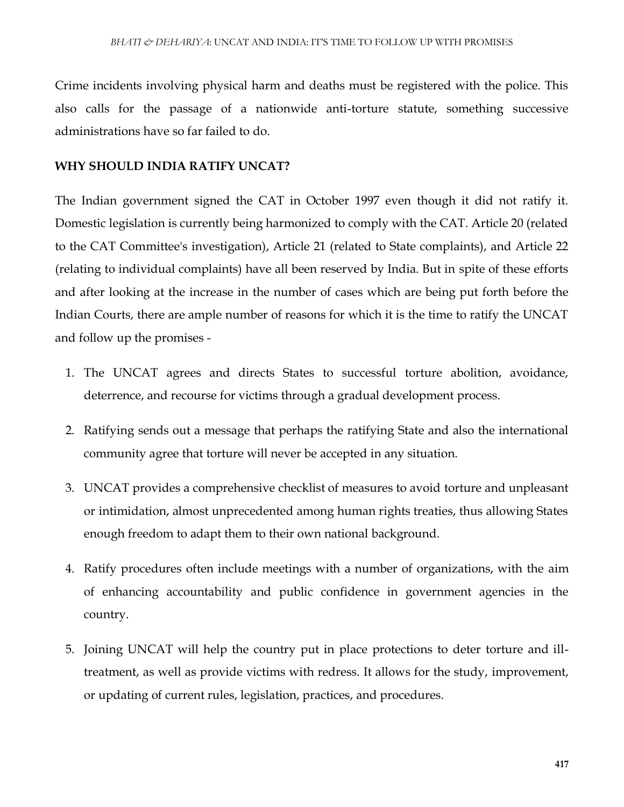Crime incidents involving physical harm and deaths must be registered with the police. This also calls for the passage of a nationwide anti-torture statute, something successive administrations have so far failed to do.

#### **WHY SHOULD INDIA RATIFY UNCAT?**

The Indian government signed the CAT in October 1997 even though it did not ratify it. Domestic legislation is currently being harmonized to comply with the CAT. Article 20 (related to the CAT Committee's investigation), Article 21 (related to State complaints), and Article 22 (relating to individual complaints) have all been reserved by India. But in spite of these efforts and after looking at the increase in the number of cases which are being put forth before the Indian Courts, there are ample number of reasons for which it is the time to ratify the UNCAT and follow up the promises -

- 1. The UNCAT agrees and directs States to successful torture abolition, avoidance, deterrence, and recourse for victims through a gradual development process.
- 2. Ratifying sends out a message that perhaps the ratifying State and also the international community agree that torture will never be accepted in any situation.
- 3. UNCAT provides a comprehensive checklist of measures to avoid torture and unpleasant or intimidation, almost unprecedented among human rights treaties, thus allowing States enough freedom to adapt them to their own national background.
- 4. Ratify procedures often include meetings with a number of organizations, with the aim of enhancing accountability and public confidence in government agencies in the country.
- 5. Joining UNCAT will help the country put in place protections to deter torture and illtreatment, as well as provide victims with redress. It allows for the study, improvement, or updating of current rules, legislation, practices, and procedures.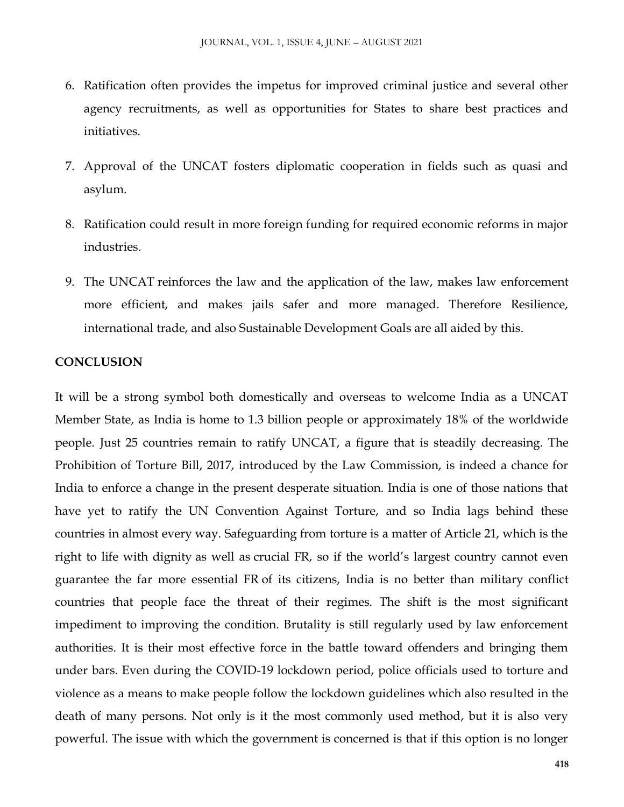- 6. Ratification often provides the impetus for improved criminal justice and several other agency recruitments, as well as opportunities for States to share best practices and initiatives.
- 7. Approval of the UNCAT fosters diplomatic cooperation in fields such as quasi and asylum.
- 8. Ratification could result in more foreign funding for required economic reforms in major industries.
- 9. The UNCAT reinforces the law and the application of the law, makes law enforcement more efficient, and makes jails safer and more managed. Therefore Resilience, international trade, and also Sustainable Development Goals are all aided by this.

#### **CONCLUSION**

It will be a strong symbol both domestically and overseas to welcome India as a UNCAT Member State, as India is home to 1.3 billion people or approximately 18% of the worldwide people. Just 25 countries remain to ratify UNCAT, a figure that is steadily decreasing. The Prohibition of Torture Bill, 2017, introduced by the Law Commission, is indeed a chance for India to enforce a change in the present desperate situation. India is one of those nations that have yet to ratify the UN Convention Against Torture, and so India lags behind these countries in almost every way. Safeguarding from torture is a matter of Article 21, which is the right to life with dignity as well as crucial FR, so if the world's largest country cannot even guarantee the far more essential FR of its citizens, India is no better than military conflict countries that people face the threat of their regimes. The shift is the most significant impediment to improving the condition. Brutality is still regularly used by law enforcement authorities. It is their most effective force in the battle toward offenders and bringing them under bars. Even during the COVID-19 lockdown period, police officials used to torture and violence as a means to make people follow the lockdown guidelines which also resulted in the death of many persons. Not only is it the most commonly used method, but it is also very powerful. The issue with which the government is concerned is that if this option is no longer